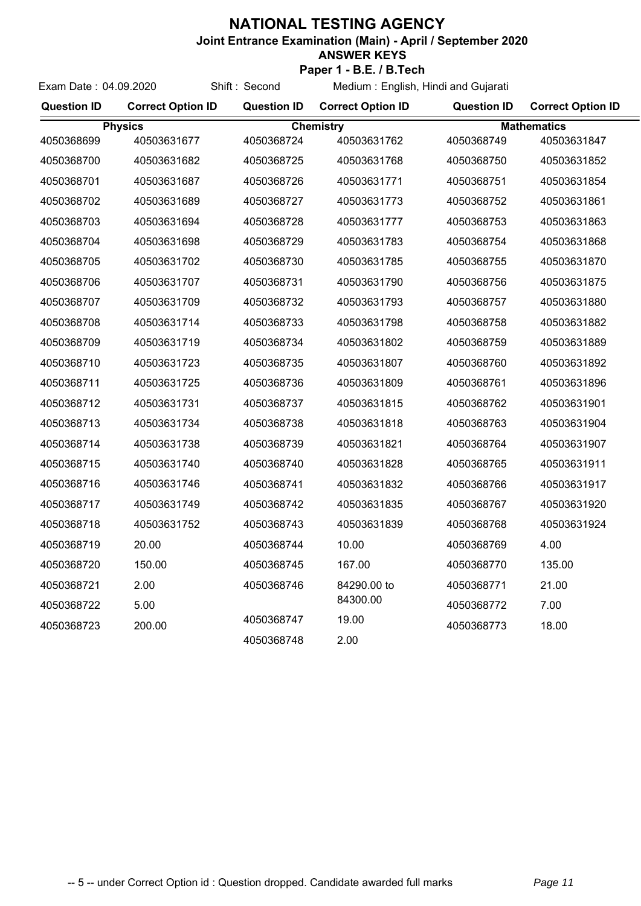## **NATIONAL TESTING AGENCY**

**Joint Entrance Examination (Main) - April / September 2020**

## **ANSWER KEYS**

**Paper 1 - B.E. / B.Tech** Medium : English, Hindi and Gujarati

| Exam Date: 04.09.2020                                    |                          | Shift: Second      | Medium: English, Hindi and Gujarati |                    |                          |
|----------------------------------------------------------|--------------------------|--------------------|-------------------------------------|--------------------|--------------------------|
| <b>Question ID</b>                                       | <b>Correct Option ID</b> | <b>Question ID</b> | <b>Correct Option ID</b>            | <b>Question ID</b> | <b>Correct Option ID</b> |
| <b>Chemistry</b><br><b>Physics</b><br><b>Mathematics</b> |                          |                    |                                     |                    |                          |
| 4050368699                                               | 40503631677              | 4050368724         | 40503631762                         | 4050368749         | 40503631847              |
| 4050368700                                               | 40503631682              | 4050368725         | 40503631768                         | 4050368750         | 40503631852              |
| 4050368701                                               | 40503631687              | 4050368726         | 40503631771                         | 4050368751         | 40503631854              |
| 4050368702                                               | 40503631689              | 4050368727         | 40503631773                         | 4050368752         | 40503631861              |
| 4050368703                                               | 40503631694              | 4050368728         | 40503631777                         | 4050368753         | 40503631863              |
| 4050368704                                               | 40503631698              | 4050368729         | 40503631783                         | 4050368754         | 40503631868              |
| 4050368705                                               | 40503631702              | 4050368730         | 40503631785                         | 4050368755         | 40503631870              |
| 4050368706                                               | 40503631707              | 4050368731         | 40503631790                         | 4050368756         | 40503631875              |
| 4050368707                                               | 40503631709              | 4050368732         | 40503631793                         | 4050368757         | 40503631880              |
| 4050368708                                               | 40503631714              | 4050368733         | 40503631798                         | 4050368758         | 40503631882              |
| 4050368709                                               | 40503631719              | 4050368734         | 40503631802                         | 4050368759         | 40503631889              |
| 4050368710                                               | 40503631723              | 4050368735         | 40503631807                         | 4050368760         | 40503631892              |
| 4050368711                                               | 40503631725              | 4050368736         | 40503631809                         | 4050368761         | 40503631896              |
| 4050368712                                               | 40503631731              | 4050368737         | 40503631815                         | 4050368762         | 40503631901              |
| 4050368713                                               | 40503631734              | 4050368738         | 40503631818                         | 4050368763         | 40503631904              |
| 4050368714                                               | 40503631738              | 4050368739         | 40503631821                         | 4050368764         | 40503631907              |
| 4050368715                                               | 40503631740              | 4050368740         | 40503631828                         | 4050368765         | 40503631911              |
| 4050368716                                               | 40503631746              | 4050368741         | 40503631832                         | 4050368766         | 40503631917              |
| 4050368717                                               | 40503631749              | 4050368742         | 40503631835                         | 4050368767         | 40503631920              |
| 4050368718                                               | 40503631752              | 4050368743         | 40503631839                         | 4050368768         | 40503631924              |
| 4050368719                                               | 20.00                    | 4050368744         | 10.00                               | 4050368769         | 4.00                     |
| 4050368720                                               | 150.00                   | 4050368745         | 167.00                              | 4050368770         | 135.00                   |
| 4050368721                                               | 2.00                     | 4050368746         | 84290.00 to                         | 4050368771         | 21.00                    |
| 4050368722                                               | 5.00                     |                    | 84300.00                            | 4050368772         | 7.00                     |
| 4050368723                                               | 200.00                   | 4050368747         | 19.00                               | 4050368773         | 18.00                    |
|                                                          |                          | 4050368748         | 2.00                                |                    |                          |